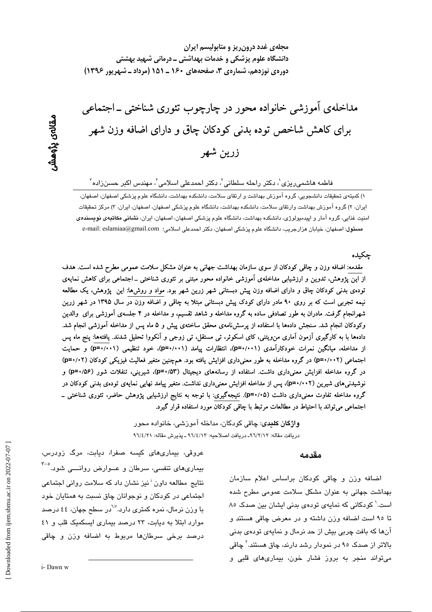مجلهی غدد درون ریز و متابولیسم ایران دانشگاه علوم پزشکی و خدمات بهداشتی ــ درمانی شهید بهشتی دورهی نوزدهم، شمارهی ۳، صفحههای ۱۶۰ ـ ۱۵۱ (مرداد ـ شهریور ۱۳۹۶)

مداخلهی آموزشی خانواده محور در چارچوب تئوری شناختی ـ اجتماعی برای کاهش شاخص توده بدنی کودکان چاق و دارای اضافه وزن شهر زرين شهر

فاطمه هاشمی٫یزی $'$ ، دکتر راحله سلطانی $'$ ، دکتر احمدعلی اسلامی $'$ ، مهندس اکبر حسن<code>زاده</code>  $^7$ 

١) كميتهي تحقيقات دانشجويي، گروه آموزش بهداشت و ارتقاي سلامت، دانشكده بهداشت، دانشگاه علوم يزشكي اصفهان، اصفهان، ایران، ۲) گروه آموزش بهداشت وارتقای سلامت، دانشکده بهداشت، دانشگاه علوم پزشکی اصفهان، اصفهان، ایران، ۳) مرکز تحقیقات امنیت غذایی، گروه آمار و اپیدمیولوژی، دانشکده بهداشت، دانشگاه علوم پزشکی اصفهان، اصفهان، ایران، **نشانی مکاتبهی نویسند***دی* مسئول: اصفهان، خيابان هزارجريب، دانشگاه علوم پزشكي اصفهان، دكتر احمدعلي اسلامي: e-mail: eslamiaa@gmail.com

#### جكىدە

مقدمه: اضافه وزن و چاقی کودکان از سوی سازمان بهداشت جهانی به عنوان مشکل سلامت عمومی مطرح شده است. هدف از این پژوهش، تدوین و ارزشیابی مداخلهی آموزشی خانواده محور مبتنی بر تئوری شناختی ــ اجتماعی برای کاهش نمایهی تودهی بدنی کودکان چاق و دارای اضافه وزن پیش دبستانی شهر زرین شهر بود. مواد و روش۵ا: این پژوهش، یک مطالعه نیمه تجربی است که بر روی ۹۰ مادر دارای کودک پیش دبستانی مبتلا به چاقی و اضافه وزن در سال ۱۳۹۵ در شهر زرین شهرانجام گرفت. مادران به طور تصادفی ساده به گروه مداخله و شاهد تقسیم، و مداخله در ۴ جلسهی آموزشی برای والدین وکودکان انجام شد. سنجش دادهها با استفاده از پرسشiامهی محقق ساختهی پیش و ۵ ماه پس از مداخله آموزشی انجام شد. دادهها با به کارگیری آزمون آماری من٫ویتنی، کای اسکوئر، تی مستقل، تی زوجی و آنکووا تحلیل شدند. یافتهها: پنج ماه پس از مداخله، میانگین نمرات خودکارآمدی (p=۰/۰۰۱)، انتظارات پیامد (p=۰/۰۰۱)، خود تنظیمی (p=۰/۰۰۱) و حمایت اجتماعی (p=۰/۰۰۲) در گروه مداخله به طور معنیداری افزایش یافته بود. همچنین متغیر فعالیت فیزیکی کودکان (p=۰/۰۲) در گروه مداخله افزایش معنیداری داشت. استفاده از رسانههای دیجیتال (۵۳/۵۳)، شیرینی، تنفلات شور (۵۶/۵۴) و نوشیدنیهای شیرین (p=۰/۰۰۲)، پس از مداخله افزایش معنیداری نداشت. متغیر پیامد نهایی نمایهی تودهی بدنی کودکان در گروه مداخله تفاوت معنیداری داشت (۵+/+=p). نتیجهگیری: با توجه به نتایج ارزشیابی پژوهش حاضر، تئوری شناختی ــ اجتماعی میتواند با احتیاط در مطالعات مرتبط با چاقی کودکان مورد استفاده قرار گیرد.

> **واژگان کلیدی**: چاقی کودکان، مداخله آموزش*ی*، خانواده محور دريافت مقاله: ٩٦/٢/١٢- دريافت اصلاحيه: ٩٦/٤/١٣ - يذيرش مقاله: ٩٦/٤/٢١

#### مقدمه

اضافه وزن و چاقی کودکان براساس اعلام سازمان بهداشت جهانی به عنوان مشکل سلامت عمومی مطرح شده است.' کودکانی که نمایهی تودهی بدنی ایشان بین صدک ۸۰ تا ۹۵ است اضافه وزن داشته و در معرض چاقی هستند و آنها که بافت چربی بیش از حد نرمال و نمایهی تودهی بدنی بالاتر از صدک ۹۵ در نمودار رشد دارند، چاق هستند.<sup>۲</sup> چاقی میتواند منجر به بروز فشار خون، بیماریهای قلبی و

عروقی، بیماریهای کیسه صفرا، دیابت، مرگ زودرس، بیماریهای تنفسی، سرطان و عــوارض روانــــی شود.<sup>°-۳</sup> نتایج مطالعه داون <sup>:</sup> نیز نشان داد که سلامت روانی اجتماعی اجتماعی در کودکان و نوجوانان چاق نسبت به همتایان خود با وزن نرمال، نمره کمتر*ی* دارد.<sup>۷۷</sup>در سطح جهان، ٤٤ درصد موارد ابتلا به دیابت، ٢٣ درصد بیماری ایسکمیک قلب و ٤١ درصد برخی سرطانها مربوط به اضافه وزن و چاقی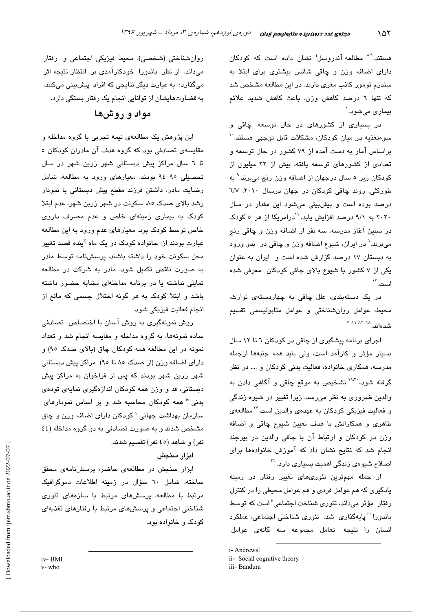هستند.<sup>۸.۸</sup> مطالعه آندروسل<sup>:</sup> نشان داده است که کودکان دارای اضافه وزن و چاقی شانس بیشتری برای ابتلا به سندرم تومور کاذب مغزی دارند. در این مطالعه مشخص شد که تنها ٦ درصد کاهش وزن، باعث کاهش شدید علائم بيماري مي شود.`

در بسیاری از کشورهای در حال توسعه، چاقی و سوءتغذیه در میان کودکان، مشکلات قابل توجهی هستند. `` براساس آمار به دست آمده از ۷۹ کشور در حال توسعه و تعدادی از کشورهای توسعه یافته، پیش از ۲۲ میلیون از کودکان زیر ۵ سال درجهان از اضافه وزن رنج میبرند.<sup>۹</sup> به طورکلی، روند چاقی کودکان در جهان درسال ۲۰۱۰، ٦/٧ درصد بوده است و پیشبینی می شود این مقدار در سال ٢٠٢٠ به ٩/١ درصد افزایش یابد. "درامریکا از هر ٥ کودک در سنین آغاز مدرسه، سه نفر از اضافه وزن و چاقی رنج مي برند. ٰ در ايران، شيوع اضافه وزن و چاقي در بدو ورود به دبستان ۱۷ درصد گزارش شده است و ایران به عنوان یکی از ۷ کشور با شیوع بالای چاقی کودکان معرفی شده است.''

در یک دستهبندی، علل چاقی به چهاردستهی توارث، محیط، عوامل روانشناختی و عوامل متابولیسمی تقسیم شدهاند. <sup>۱۸–۱۲</sup> ۱۸ ت

اجرای برنامه پیشگیری از چاقی در کودکان ٦ تا ١٢ سال بسيار مؤثر و كارآمد است، ولى بايد همه جنبهها ازجمله مدرسه، همکاری خانواده، فعالیت بدنی کودکان و …. در نظر گرفته شود. <sup>۱۹،۲</sup>′ تشخیص به موقع چاقی و آگا*هی* دادن به والدین ضروری به نظر میرسد. زیرا تغییر در شیوه زندگی و فعالیت فیزیکی کودکان به عهدهی والدین است.<sup>۷۷</sup> مطالعهی طاهری و همکارانش با هدف تعیین شیوع چاقی و اضافه وزن در کودکان و ارتباط آن با چاقی والدین در بیرجند انجام شد که نتایج نشان داد که آموزش خانوادهها برای اصلاح شیوهی زندگی اهمیت بسیاری دارد. <sup>۲۱</sup>

از جمله مهمترین تئوریهای تغییر رفتار در زمینه یادگیری که هم عوامل فردی و هم عوامل محیطی را در کنترل رفتار مؤثر میداند، تئوری شناخت اجتماعی" است که توسط باندورا " پایهگذاری شد. تئوری شناختی اجتماعی، عملکرد انسان را نتیجه تعامل مجموعه سه گانهی عوامل

i- Andrewsl

روان شناختی (شخصی)، محیط فیزیکی اجتماعی و رفتار میداند. از نظر باندورا خودکارآمدی بر انتظار نتیجه اثر میگذارد؛ به عبارت دیگر نتایجی که افراد پیش بینی میکنند، به قضاوتهایشان از توانایی انجام یک رفتار بستگی دارد.

# مواد و روشها

این پژوهش یک مطالعهی نیمه تجربی با گروه مداخله و مقایسهی تصادفی بود که گروه هدف آن مادران کودکان ٥ تا ٦ سال مراکز پیش دبستانی شهر زرین شهر در سال تحصیلی ۹۵-۹۶ بودند. معیارهای ورود به مطالعه، شامل رضایت مادر، داشتن فرزند مقطع پیش دبستانی با نمودار رشد بالای صدک ۸۵ سکونت در شهر زرین شهر، عدم ابتلا کودک به بیماری زمینهای خاص و عدم مصرف داروی خاص توسط کودک بود. معیارهای عدم ورود به این مطالعه عبارت بودند از: خانواده کودک در یک ماه آینده قصد تغییر محل سکونت خود را داشته باشند، پرسشنامه توسط مادر به صورت ناقص تکمیل شود، مادر به شرکت در مطالعه تمایلی نداشته یا در برنامه مداخلهای مشابه حضور داشته باشد و ابتلا کودک به هر گونه اختلال جسمی که مانع از انجام فعاليت فيزيكي شود.

روش نمونهگیری به روش آسان با اختصاص تصادفی ساده نمونهها، به گروه مداخله و مقایسه انجام شد و تعداد نمونه در این مطالعه همه کودکان چاق (بالای صدک ۹۵) و دارای اضافه وزن (از صدک ۸۵ تا ۹۵) مراکز پیش دبستانی شهر زرین شهر بودند که پس از فراخوان به مراکز پیش دستتانی، قد و ورزن همه کودکان اندازهگیری نمایهی تودهی بدنی " همه کودکان محاسبه شد و بر اساس نمودارهای سازمان بهداشت جهانی <sup>۷</sup> کودکان دارای اضافه وزن و چاق مشخص شدند و به صورت تصادفی به دو گروه مداخله (٤٤ نفر) و شاهد (٤٥ نفر) تقسیم شدند.

ابزار سنجش

ابزار سنجش در مطالعهی حاضر، پرسشنامهی محقق ساخته، شامل ٦٠ سؤال در زمينه اطلاعات دموگرافيک مرتبط با مطالعه، پرسش های مرتبط با سازههای تئوری شناختی اجتماعی و پرسشهای مرتبط با رفتارهای تغذیهای کو دک و خانواده يو د.

v-who

ii- Social cognitive theory

iii- Bandura

iv-BMI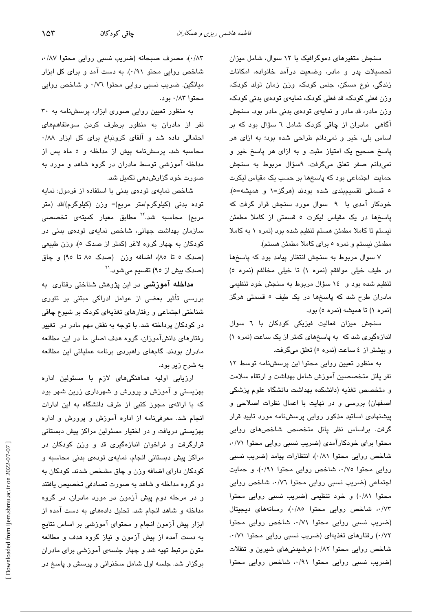$\sqrt{25}$ 

سنجش متغیرهای دموگرافیک با ١٢ سوال، شامل میزان تحصیلات پدر و مادر، وضعیت درآمد خانواده، امکانات زندگی، نوع مسکن، جنس کودک، وزن زمان تولد کودک، وزن فعلی کودک، قد فعلی کودک، نمایهی تودهی بدنی کودک، وزن مادر، قد مادر و نمایهی تودهی بدنی مادر بود. سنجش آگاهی مادران از چاقی کودک شامل ٦ سؤال بود که بر اساس بلی، خیر و نمیدانم طراحی شده بود؛ به ازای هر پاسخ صحیح یک امتیاز مثبت و به ازای هر پاسخ خیر و نمی دانم صفر تعلق میگرفت. ۹سؤال مربوط به سنجش حمایت اجتماعی بود که پاسخها بر حسب یک مقیاس لیکرت ٥ قسمتى تقسيمېندى شده بودند (هرگز=١ و هميشه=٥). خودکار آمدی با ۹ سوال مورد سنجش قرار گرفت که پاسخها در یک مقیاس لیکرت ٥ قسمتی از کاملا مطمئن نیستم تا کاملا مطمئن هستم تنظیم شده بود (نمره ۱ به کاملا مطمئن نيستم و نمره ٥ براي كاملا مطمئن هستم).

۷ سوال مربوط به سنجش انتظار پیامد بود که پاسخها در طيف خيلى موافقم (نمره ١) تا خيلى مخالفم (نمره ٥) تنظیم شده بود و ١٤ سؤال مربوط به سنجش خود تنظیمی مادران طرح شد که پاسخها در یک طیف ٥ قسمتی هرگز (نمره ۱) تا همیشه (نمره ٥) بود.

سنجش میزان فعالیت فیزیکی کودکان با ٦ سوال اندازهگیری شد که به پاسخهای کمتر از یک ساعت (نمره ۱) و بيشتر از ٤ ساعت (نمره ٥) تعلق ميگرفت.

به منظور تعیین روایی محتوا این پرسشنامه توسط ١٢ نفر پانل متخصصین آموزش شامل بهداشت و ارتقاء سلامت و متخصص تغذیه (دانشکده بهداشت دانشگاه علوم پزشکی اصفهان) بررسی و در نهایت با اعمال نظرات اصلاحی و پیشنهادی اساتید مذکور روایی پرسشنامه مورد تایید قرار گرفت. براساس نظر پانل متخصص شاخصهای روایی محتوا برای خودکارآمدی (ضریب نسبی روایی محتوا ۰۰/۷۱ شاخص روایی محتوا ۰/۸۱)، انتظارات پیامد (ضریب نسبی روایی محتوا ۰/۷٥، شاخص روایی محتوا ۰/۹۱)، و حمایت اجتماعی (ضریب نسبی روایی محتوا ۰۰/۷٦، شاخص روایی محتوا ٠/٨١) و خود تنظيمي (ضريب نسبي روايي محتوا ٠/٧٣، شاخص روايي محتوا ٠/٨٥)، رسانههاي ديجيتال (ضریب نسبی روایی محتوا ۰۰/۷۱ شاخص روایی محتوا ۰/۷۲) رفتارهای تغذیهای (ضریب نسبی روایی محتوا ۰۰/۷۱ شاخص روایی محتوا ۰/۸۲) نوشیدنیهای شیرین و تنقلات (ضریب نسبی روایی محتوا ۰/۹۱، شاخص روایی محتوا

٠/٨٣)، مصرف صبحانه (ضريب نسبي روايي محتوا ٨٧/٠، شاخص روایی محتو ۰/۹۱). به دست آمد و برای کل ابزار میانگین. ضریب نسبی روایی محتوا ۰/۷٦ و شاخص روایی محتوا ۰/۸۳ بود.

به منظور تعیین روایی صوری ابزار، پرسشنامه به ۳۰ نفر از مادران به منظور برطرف کردن سوءتفاهمهای احتمالی داده شد و آلفای کرونباخ برای کل ابزار ۰/۸۸ محاسبه شد. پرسشنامه پیش از مداخله و ٥ ماه پس از مداخله آموزشی توسط مادران در گروه شاهد و مورد به صورت خود گزارش،دھی تکمیل شد.

شاخص نمایهی تودهی بدنی با استفاده از فرمول: نمایه توده بدنی (کیلوگرم/متر مربع)= وزن (کیلوگرم)/قد (متر مربع) محاسبه شد.<sup>۲۲</sup> مطابق معیار کمیته*ی* تخصص*ی* سازمان بهداشت جهانی، شاخص نمایهی تودهی بدنی در كودكان به چهار گروه لاغر (كمتر از صدك ٥)، وزن طبيعي (صدک ٥ تا ٨٥)، اضافه وزن (صدک ٨٥ تا ٩٥) و چاق (صدک بیش از ۹۰) تقسیم میشود.<sup>۲۱</sup>

م**داخله آموزشی** در این پژوهش شناختی رفتاری به بررسی تأثیر بعضی از عوامل ادراکی مبتنی بر تئوری شناختی اجتماعی و رفتارهای تغذیهای کودک بر شیوع چاقی در کودکان پرداخته شد. با توجه به نقش مهم مادر در تغییر رفتارهای دانشآموزان، گروه هدف اصلی ما در این مطالعه مادران بودند. گامهای راهبردی برنامه عملیاتی این مطالعه به شرح زیر بود.

ارزیابی اولیه هماهنگیهای لازم با مسئولین اداره بهزیستی و آموزش و پرورش و شهرداری زرین شهر بود که با ارائهی مجوز کتبی از طرف دانشگاه به این ادارات انجام شد. معرفی نامه از اداره آموزش و پرورش و اداره بهزیستی دریافت و در اختیار مسئولین مراکز پیش دبستانی قرارگرفت و فراخوان اندازهگیری قد و وزن کودکان در مراکز پیش دبستانی انجام، نمایهی تودهی بدنی محاسبه و کودکان دارای اضافه وزن و چاق مشخص شدند. کودکان به دو گروه مداخله و شاهد به صورت تصادفی تخصیص یافتند و در مرحله دوم پیش آزمون در مورد مادران، در گروه مداخله و شاهد انجام شد. تحلیل دادههای به دست آمده از ابزار پیش آزمون انجام و محتوای آموزشی بر اساس نتایج به دست آمده از پیش آزمون و نیاز گروه هدف و مطالعه متون مرتبط تهیه شد و چهار جلسهی آموزشی برای مادران برگزار شد. جلسه اول شامل سخنرانی و پرسش و پاسخ در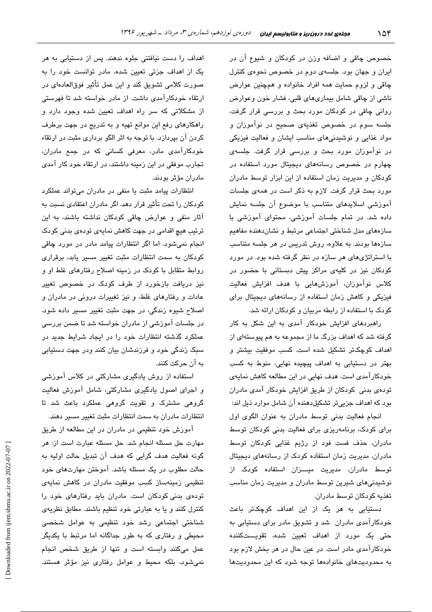خصوص چاقی و اضافه وزن در کودکان و شیوع آن در ایران و جهان بود. جلسهی دوم در خصوص نحوهی کنترل چاقی و لزوم حمایت همه افراد خانواده و همچنین عوارض ناشمی از چاقی شامل بیماریهای قلبی، فشار خون وعوارض روانی چاقی در کودکان مورد بحث و بررسی قرار گرفت، جلسه سوم در خصوص تغذیهی صحیح در نوآموزان و مواد غذایی و نوشیدنیهای مناسب ایشان و فعالیت فیزیکی در نوآموزان مورد بحث و بررسی قرار گرفت. جلسهی چهارم در خصوص رسانههای دیجیتال مورد استفاده در کودکان و مدیریت زمان استفاده از این ابزار توسط مادران مورد بحث قرار گرفت. لازم به ذکر است در همهی جلسات آموزشی اسلایدهای متناسب با موضوع آن جلسه نمایش داده شد. در تمام جلسات آموزشی، محتوای آموزشی با سازههای مدل شناختی اجتماعی مرتبط و نشان دهنده مفاهیم سازهها بودند. به علاوه، روش تدریس در هر جلسه متناسب با استراتژیهای هر سازه در نظر گرفته شده بود. در مورد کودکان نیز در کلیهی مراکز پیش دبستانی با حضور در كلاس نوآموزان، آموزشهايى با هدف افزايش فعاليت فیزیکی و کاهش زمان استفاده از رسانههای دیجیتال برای کودک با استفاده از رابطه مربیان و کودکان ارائه شد.

راهبردهای افزایش خودکار آمدی به این شکل به کار گرفته شد که اهداف بزرگ ما از مجموعه به هم پیوستهای از اهداف كوچكاتر تشكيل شده است. كسب موفقيت بيشتر و بهتر در دستیابی به اهداف پیچیده نهایی، منوط به کسب خودکارآمدی است. هدف نهایی در این مطالعه کاهش نمایهی تودهی بدنی کودکان از طریق افزایش خودکار آمدی مادران بود که اهداف جزییتر تشکیلدهنده آن شامل موارد ذیل اند:

انجام فعالیت بدنی توسط مادران به عنوان الگوی اول برای کودک، برنامهریزی برای فعالیت بدنی کودکان توسط مادران، حذف فست فود از رژیم غذایی کودکان توسط مادران، مدیریت زمان استفاده کودک از رسانههای دیجیتال توسط مادران، مدیریت میـــزان استفاده کودک از نوشیدنیهای شیرین توسط مادران و مدیریت زمان مناسب تغذيه كودكان توسط مادران.

دستیابی به هر یک از این اهداف کوچکتر باعث خودکارآمدی مادران شد و تشویق مادر برای دستیابی به حتی یک مورد از اهداف تعیین شده، تقویـــتکننده خودکارآمدی مادر است. در عین حال در هر بخش لازم بود به محدودیتهای خانوادهها توجه شود که این محدودیتها

اهداف را دست نیافتنی جلوه ندهند. پس از دستیابی به هر یک از اهداف جزئی تعیین شده، مادر توانست خود را به صورت كلامي تشويق كند و اين عمل تأثير فوقالعادهاي در ارتقاء خودکارآمدی داشت. از مادر خواسته شد تا فهرستی از مشکلاتی که سر راه اهداف تعیین شده وجود دارد و راهکارهای رفع این موانع تهیه و به تدریج در جهت برطرف کردن آن بپردازد. با توجه به اثر الگو برداری مثبت در ارتقاء خودکارآمدی مادر، معرفی کسانی که در جمع مادران، تجارب موفقی در این زمینه داشتند، در ارتقاء خود کار آمدی مادران مؤثر بودند.

انتظارات پیامد مثبت یا منفی در مادران میتواند عملکرد کودکان را تحت تأثیر قرار دهد. اگر مادران اعتقادی نسبت به آثار منفی و عوارض چاقی کودکان نداشته باشند، به این ترتیب هیچ اقدامی در جهت کاهش نمایهی تودهی بدنی کودک انجام نمی شود. اما اگر انتظارات پیامد مادر در مورد چاقی کودکان به سمت انتظارات مثبت تغییر مسیر یابد، برقراری روابط متقابل با کودک در زمینه اصلاح رفتارهای غلط او و نیز دریافت بازخورد از طرف کودک در خصوص تغییر عادات و رفتارهای غلط، و نیز تغییرات درونی در مادران و اصلاح شيوه زندگي، در جهت مثبت تغيير مسير داده شود. در جلسات آموزشی از مادران خواسته شد تا ضمن بررسی عملکرد گذشته انتظارات خود را در ایجاد شرایط جدید در سبک زندگی خود و فرزندشان بیان کنند ودر جهت دستیابی په آن چرکت کنند.

استفاده از روش یادگیری مشارکتی در کلاس آموزشی و اجرای اصول یادگیری مشارکتی، شامل آموزش فعالیت گروهی مشترک و تقویت گروهی عملکرد باعث شد تا انتظارات مادران به سمت انتظارات مثبت تغییر مسیر دهند.

آموزش خود تنظیمی در مادران در این مطالعه از طریق مهارت حل مسئله انجام شد. حل مسئله عبارت است از: هر گونه فعالیت هدف گرایی که هدف آن تبدیل حالت اولیه به حالت مطلوب در یک مسئله باشد. آموختن مهارتهای خود تنظیمی زمینهساز کسب موفقیت مادران در کاهش نمایهی تودهی بدنی کودکان است. مادران باید رفتارهای خود را كنترل كنند و يا به عبارتي خود تنظيم باشند. مطابق نظريهي شناختی اجتماعی رشد خود تنظیمی به عوامل شخصی محیطی و رفتاری که به طور جداگانه اما مرتبط با یکدیگر عمل میکنند وابسته است و تنها از طریق شخص انجام نمی شود، بلکه محیط و عوامل رفتاری نیز مؤثر هستند.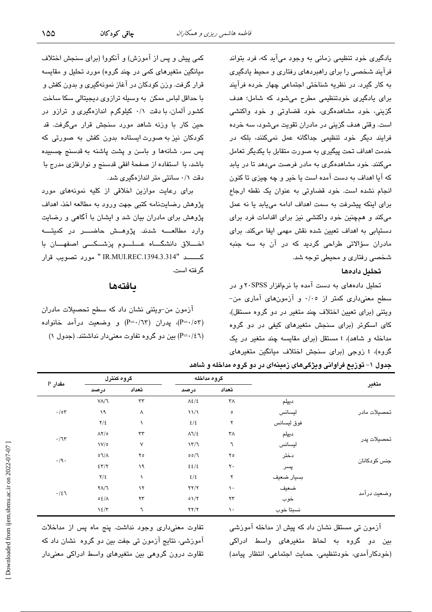یادگیری خود تنظیمی زمانی به وجود میآید که، فرد بتواند فرآیند شخصی را برای راهبردهای رفتاری و محیط یادگیری به کار گیرد. در نظریه شناختی اجتماعی چهار خرده فرآیند برای پادگیری خودتنظیمی مطرح میشود که شامل؛ هدف گزینی، خود مشاهدهگری، خود قضاوتی و خود واکنشی است. وقتی هدف گزینی در مادران تقویت میشود، سه خرده فرایند دیگر خود تنظیمی جداگانه عمل نمیکنند، بلکه در خدمت اهداف تحت پیگیری به صورت متقابل با یکدیگر تعامل مے کنند. خود مشاهدهگری په مادر فرصت مے،دهد تا در پاید که آیا اهداف به دست آمده است یا خیر و چه چیزی تا کنون انجام نشده است. خود قضاوتی به عنوان یک نقطه ارجاع برای اینکه پیشرفت به سمت اهداف ادامه می یابد یا نه عمل میکند و همچنین خود واکنشی نیز برای اقدامات فرد برای دستیابی به اهداف تعیین شده نقش مهمی ایفا میکند. برای مادران سؤالاتی طراحی گردید که در آن به سه جنبه شخصی رفتاری و محیطی توجه شد.

## تحلىل دادهها

تحلیل دادههای به دست آمده با نرمافزار ۲۰SPSS و در سطح معنیداری کمتر از ۰/۰۰ و آزمونهای آماری من-ویتنی (برای تعیین اختلاف چند متغیر در دو گروه مستقل). کای اسکوئر (برای سنجش متغیرهای کیفی در دو گروه مداخله و شاهد)، t مستقل (برای مقایسه چند متغیر در یک گروه)، t زوجی (برای سنجش اختلاف میانگین متغیرهای

کمی پیش و پس از آموزش) و آنکووا (برای سنجش اختلاف میانگین متغیرهای کمی در چند گروه) مورد تحلیل و مقایسه قرار گرفت. وزن کودکان در آغاز نمونهگیری و بدون کفش و با حداقل لباس ممکن به وسیله ترازوی دیجیتالی سکا ساخت کشور آلمان، با دقت ۰/۱ کیلوگرم اندازهگیری و ترازو در حين کار با وزنه شاهد مورد سنجش قرار میگرفت. قد کودکان نیز به صورت ایستاده بدون کفش به صورتی که پس سر، شانهها و باسن و پشت پاشنه به قدسنج چسبیده باشد، با استفاده از صفحهٔ افقی قدسنج و نوارفلزی مدرج با دقت ۰/۱ سانتی متر اندازهگیری شد.

برای رعایت موازین اخلاقی از کلیه نمونههای مورد پژوهش رضایتنامه کتبی جهت ورود به مطالعه اخذ، اهداف پژوهش برای مادران بیان شد و ایشان با آگاهی و رضایت وارد مطالعــــه شدند. پژوهـــش حاضـــــر در کمیتــــه اخـــلاق دانشگـــاه عـــلـــوم یزشــکـــی اصفهـــان با كــــــد "IR.MUI.REC.1394.3.314" مورد تصويب قرار گر فته است.

#### بافتهها

آزمون من-ویتنی نشان داد که سطح تحصیلات مادران (P=۰/٥٣)، پدران (P=۰/٦٣) و وضعیت درآمد خانواده (P=۰/٤٦) بین دو گروه تفاوت معنیدار نداشتند. (جدول ۱)

| جدول ۱– توزیع فراوانی ویژگیهای زمینهای در دو گروه مداخله و شاهد |  |
|-----------------------------------------------------------------|--|
|-----------------------------------------------------------------|--|

|                              | گروه کنترل                  |               | گروه مداخله                    |                   |            |              |
|------------------------------|-----------------------------|---------------|--------------------------------|-------------------|------------|--------------|
| مقدار P                      | درصد                        | تعداد         | درصد                           | تعداد             |            | متغير        |
|                              | $V/\sqrt{2}$                | $\tau\tau$    | $\Lambda \xi/\xi$              | ٣٨                | ديپلم      |              |
| $\cdot/\circ \mathbf{r}$     | ۱۹                          | $\wedge$      | $\frac{1}{2}$                  | $\circ$           | ليسانس     | تحصيلات مادر |
|                              | $\frac{1}{2}$               |               | 2/5                            | ۲                 | فوق ليسانس |              |
|                              | $\Lambda$ Y/0               | $\tau\tau$    | $\Lambda$ $\sqrt{2}$           | ٣٨                | ديپلم      | تحصيلات پدر  |
| $\cdot/\mathfrak{r}$         | $V/\circ$                   | $\vee$        | 17/7                           | ٦                 | ليسانس     |              |
|                              | $\circ \mathcal{N}/\Lambda$ | $Y \circ$     | 00/7                           | $\mathbf{y}$      | دختر       | جنس كودكانان |
| $\cdot / \mathfrak{g} \cdot$ | $\S 7/7$                    | ۱۹            | 25/2                           | $\mathsf{r}\cdot$ | پسر        |              |
|                              | $\frac{1}{2}$               |               | 2/5                            | ۲                 | بسيار ضعيف |              |
| $\cdot/21$                   | $Y/\lambda$                 | $\lambda$     | $\Upsilon\Upsilon/\Upsilon$    | ١.                | ضعيف       |              |
|                              | 0.2/1                       | $\tau\tau$    | $01/\Upsilon$                  | $\tau\tau$        | خوب        | وضعيت درآمد  |
|                              | $\frac{1}{2}$               | $\mathcal{T}$ | $\Upsilon \Upsilon / \Upsilon$ | ١.                | نسبتا خوب  |              |

آزمون تی مستقل نشان داد که پیش از مداخله آموزشی بین دو گروه به لحاظ متغیرهای واسط ادراکی (خودکارآمدی، خودتنظیمی، حمایت اجتماعی، انتظار پیامد)

تفاوت معنى دارى وجود نداشت. پنج ماه پس از مداخلات آموزشی، نتایج آزمون تی جفت بین دو گروه نشان داد که تقاوت درون گروهی بین متغیرهای واسط ادراکی معنیدار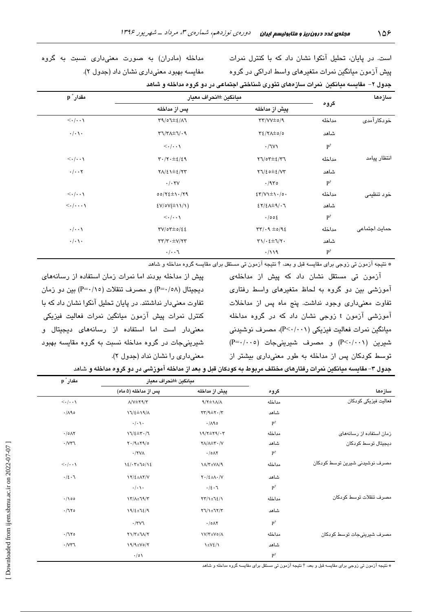است. در پایان، تحلیل آنکوا نشان داد که با کنترل نمرات پیش آزمون میانگین نمرات متغیرهای واسط ادراکی در گروه جدول ۲– مقایسه میانگین نمرات سازههای تئوری شناختی اجتماعی در دو گروه مداخله و شاهد

مداخله (مادران) به صورت معنى دارى نسبت به گروه مفايسه بهبود معنى دارى نشان داد (جدول ٢).

| مقدار * p                             | ميانگين ±انحراف معيار                                               |                                                                         |                      | سازمها              |
|---------------------------------------|---------------------------------------------------------------------|-------------------------------------------------------------------------|----------------------|---------------------|
|                                       | پس از مداخله                                                        | پیش از مداخله                                                           | گروه                 |                     |
| $\langle \cdot   \cdot \cdot \rangle$ | $\Gamma$ 9/07±2/17                                                  | $\gamma\gamma/\gamma\gamma\pm o/\gamma$                                 | مداخله               | خودکار آمد <i>ی</i> |
| $\cdot/\cdot\setminus\cdot$           | $T1/T\Lambda \pm 1/4$                                               | $Y\S/ Y\Lambda \pm o/o$                                                 | شاهد                 |                     |
|                                       | $\langle \cdot   \cdot \cdot \rangle$                               | $\cdot$ /lv                                                             | $\mathbf{P}^\dagger$ |                     |
| $\langle \cdot   \cdot \cdot \rangle$ | $\mathbf{r} \cdot \mathbf{r} \cdot \pm \mathbf{r} \cdot \mathbf{r}$ | $\gamma\gamma/\delta\pm\epsilon/\gamma\gamma$                           | مداخله               | انتظار پيامد        |
| $\cdot/\cdot\cdot$ $\mathsf{Y}$       | $Y\Lambda/\xi$ $\pm$ $\S$ / $YY$                                    | $Y1/\epsilon$ o $\pm \epsilon/VT$                                       | شاهد                 |                     |
|                                       | $\cdot/\cdot$ TV                                                    | .470                                                                    | $\mathbf{P}^\dagger$ |                     |
| $\langle \cdot   \cdot \cdot \rangle$ | $00/72 \pm 1.79$                                                    | $\S$ $\Upsilon$ / $\Upsilon$ $\pm$ $\Upsilon$ $\cdot$ / $\circ$ $\cdot$ | مداخله               | خود تنظیمی          |
| $\langle \cdot   \cdots \rangle$      | $\frac{2V}{\circ V(\pm 1)/1}$                                       | $27/2$ $\pm$ 9/-7                                                       | شاهد                 |                     |
|                                       | $\langle \cdot   \cdot \cdot \rangle$                               | $\cdot$ /00{                                                            | $\mathbf{P}^\dagger$ |                     |
| $\cdot/\cdot\cdot$                    | $\Upsilon V/\circ \Upsilon \pm o/\epsilon \epsilon$                 | $\tau\tau/\cdot q \pm o/q\epsilon$                                      | مداخله               | حمايت اجتماعى       |
| $\cdot/\cdot\setminus\cdot$           | $\tau\tau/\tau\cdot\pm\mathsf{V}/\tau\tau$                          | $\Upsilon\Upsilon/\cdot\epsilon\pm\Upsilon/\Upsilon$ .                  | شاهد                 |                     |
|                                       | $\cdot/\cdot\cdot$                                                  | $\cdot$ /119                                                            | $\mathbf{P}^\dagger$ |                     |

\* نتيجه آزمون تي زوجي براي مقايسه قبل و بعد، † نتيجه آزمون تي مستقل براي مقايسه گروه مداخله و شاهد

آزمون تی مستقل نشان داد که پیش از مداخلهی آموزشی بین دو گروه به لحاظ متغیرهای واسط رفتاری تفاوت معنى دارى وجود نداشت. ينج ماه پس از مداخلات آموزشی آزمون t زوجی نشان داد که در گروه مداخله میانگین نمرات فعالیت فیزیکی (P<۰/۰۰۱)، مصرف نوشیدنی  $(P = \cdot / \cdot \circ)$  شیرین (۲۰۰۱/ -P) و مصرف شیرینی جات توسط کودکان پس از مداخله به طور معنیداری بیشتر از

پیش از مداخله بودند اما نمرات زمان استفاده از رسانههای دیجیتال (P=٠/٥٨) و مصرف تنقلات (P=٠/١٥) بین دو زمان تفاوت معنیدار نداشتند. در پایان تحلیل آنکوا نشان داد که با کنترل نمرات پیش آزمون میانگین نمرات فعالیت فیزیکی معنیدار است اما استفاده از رسانههای دیجیتال و شيريني جات در گروه مداخله نسبت به گروه مقايسه بهبود معنی،داری را نشان نداد (جدول ۲).

| جدول ۳- مقايسه ميانگين نمرات رفتارهاي مختلف مربوط به كودكان قبل و بعد از مداخله اموزشي در دو گروه مداخله و شاهد |
|-----------------------------------------------------------------------------------------------------------------|
|-----------------------------------------------------------------------------------------------------------------|

|                                |                      | ميانكين لخانحراف معيار                                 |                                                                                                       | مقدار ً p                             |
|--------------------------------|----------------------|--------------------------------------------------------|-------------------------------------------------------------------------------------------------------|---------------------------------------|
| سازەھا                         | گروه                 | پیش از مداخله                                          | پس از مداخله (۵ ماه)                                                                                  |                                       |
| فعالیت فیزیکی کودکان           | مداخله               | $9/7\pm3/4$                                            | $\Lambda/V \pm \Upsilon \Upsilon / \Upsilon$                                                          | $\langle \cdot   \cdot \cdot \rangle$ |
|                                | شاهد                 | $\tau\tau/2\pm\tau\cdot/\tau$                          | $17/2 \pm 19/4$                                                                                       | $\cdot/\Lambda$ ۹٥                    |
|                                | $\mathbf{P}^\dagger$ | $\cdot/\Lambda$ ۹٥                                     | $\cdot/\cdot\setminus\cdot$                                                                           |                                       |
| زمان استفاده از رسانههای       | مداخله               | $19/7 \pm 79/7$                                        | $17/2 \pm 7.7$                                                                                        | .70A7                                 |
| ديجيتال توسط كودكان            | شاهد                 | $Y/\lambda \pm Y \cdot /V$                             | $Y \cdot / 9 \pm Y 9 / 0$                                                                             | $\cdot$ / $\vee\tau\tau$              |
|                                | $P^{\dagger}$        | $\cdot$ / $\circ$ AY                                   | $\cdot$ /۲۷۸                                                                                          |                                       |
| مصرف نوشیدنی شیرین توسط کودکان | مداخله               | $\Lambda/\Upsilon \pm V\Lambda/9$                      | $\frac{1}{2}$ / $\frac{1}{2}$                                                                         | $\langle \cdot   \cdot \cdot \rangle$ |
|                                | شاهد                 | $Y \cdot / \xi \pm \Lambda \cdot / V$                  | $\frac{1}{\ell}$ $\frac{1}{\ell}$ $\frac{1}{\ell}$ $\frac{1}{\ell}$ $\frac{1}{\ell}$ $\frac{1}{\ell}$ | $\cdot/\xi \cdot$                     |
|                                | $\mathbf{P}^\dagger$ | .42.7                                                  | $\cdot/\cdot \setminus \cdot$                                                                         |                                       |
| مصرف تنقلات توسط كودكان        | مداخله               | $\Upsilon \Upsilon / \Upsilon \pm \Upsilon$            | $\frac{1}{\sqrt{2}}\frac{1}{\sqrt{2}}$                                                                | $\cdot/\rho$                          |
|                                | شاهد                 | $\Upsilon \Upsilon / \Upsilon \pm \Upsilon / \Upsilon$ | $19/2 \pm 72/9$                                                                                       | .7170                                 |
|                                | $P^{\dagger}$        | .70A                                                   | $\cdot$ /٣٧٦                                                                                          |                                       |
| مصرف شیرینے جات توسط کودکان    | مداخله               | <b>IV/Y±Vo/A</b>                                       | $Y \setminus Y \pm \lambda / Y$                                                                       | $\cdot/170$                           |
|                                | شاهد                 | $\lambda \pm V \xi / \lambda$                          | $19/4 \pm V_0/Y$                                                                                      | $\cdot$ / $\vee\tau$                  |
|                                | $P^{\dagger}$        |                                                        | $\cdot/\circ \wedge$                                                                                  |                                       |

\* نتیجه آزمون تی زوجی برای مقایسه قبل و بعد، † نتیجه آزمون تی مستقل برای مقایسه گروه مداخله و شاهد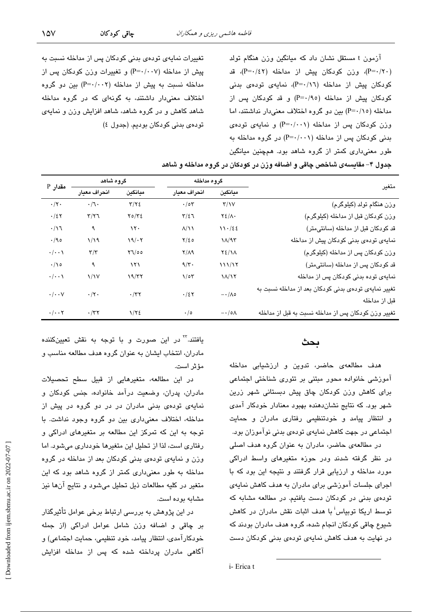آزمون t مستقل نشان داد که میانگین وزن هنگام تولد (P=۰/۲۰)، وزن کودکان پیش از مداخله (P=۰/٤۲)، قد کودکان پیش از مداخله (P=۰/۱٦)، نمایهی تودهی بدنی کودکان پیش از مداخله (P=۰/۹۰) و قد کودکان پس از مداخله (P=۰/۱۵) بین دو گروه اختلاف معنیدار نداشتند، اما وزن کودکان پس از مداخله (P=۰/۰۰۱) و نمایهی تودهی بدنی کودکان پس از مداخله (P=۰/۰۰۱) در گروه مداخله به طور معنی *داری* کمتر از گروه شاهد بود. همچنین میانگین

تغییرات نمایهی تودهی بدنی کودکان پس از مداخله نسبت به پیش از مداخله (P=۰/۰۰۷) و تغییرات وزن کودکان پس از مداخله نسبت به پیش از مداخله (P=٠/٠٠٢) بین دو گروه اختلاف معنیدار داشتند، به گونهای که در گروه مداخله شاهد کاهش و در گروه شاهد، شاهد افزایش وزن و نمایهی توبادی بدنی کوباکان بوبایم. (جدول ٤)

جدول ۴– مقایسهی شاخص چاقی و اضافه وزن در کودکان در گروه مداخله و شاهد

| مقدار P                         | گروه شاهد               |                    | گروه مداخله             |                        |                                                      |
|---------------------------------|-------------------------|--------------------|-------------------------|------------------------|------------------------------------------------------|
|                                 | انحراف معيار            | ميانكين            | انحراف معيار<br>ميانگين |                        | متغير                                                |
| $\cdot/\tau$ .                  | $\cdot / \sqrt{2}$      | $\tau/\tau$ ٤      | $\cdot$ /0٣             | $\Upsilon/\Upsilon$    | وزن هنگام تولد (کیلوگرم)                             |
| $\cdot/2$ ٢                     | $\tau/\tau\tau$         | Y0/YE              | $T/\xi$                 | $Y\S$ / $\wedge$ .     | وزن كودكان قبل از مداخله (كيلوگرم)                   |
| $\cdot/\gamma$                  | ٩                       | $\lambda \tau$     | $\Lambda/\Lambda$       | 11.152                 | قد کودکان قبل از مداخله (سانتیمتر)                   |
| $\cdot$ /90                     | 1/19                    | 19/·7              | $Y/\epsilon$ 0          | $1/\sqrt{15}$          | نمایهی تودهی بدنی کودکان پیش از مداخله               |
| $\cdot/\cdot\cdot$              | $\mathbf{r}/\mathbf{r}$ | $Y \mathcal{U}$ 00 | $Y/\Lambda$ 9           | $Y\S/1\Lambda$         | وزن کودکان پس از مداخله (کیلوگرم)                    |
| $\cdot/\rho$                    | ٩                       | ۱۲۱                | $9/\tau$ .              | 111/17                 | قد کودکان پس از مداخله (سانتیمتر)                    |
| $\cdot/\cdot\cdot$              | $\frac{1}{\sqrt{2}}$    | 19/77              | $1/\circ 7$             | $\lambda/\lambda$      | نمایهی توده بدنی کودکان پس از مداخله                 |
| $\cdot/\cdot\cdot$ $\vee$       | $\cdot/\tau$ .          | $\cdot$ /٣٢        | $\cdot/27$              | $-\cdot/\Lambda$ o     | تغییر نمایهی تودهی بدنی کودکان بعد از مداخله نسبت به |
|                                 |                         |                    |                         |                        | قبل از مداخله                                        |
| $\cdot/\cdot\cdot$ $\mathsf{Y}$ | $\cdot$ /٣٢             | $1/\tau$           | $\cdot/\circ$           | $-\cdot/\circ \Lambda$ | تغییر وزن کودکان پس از مداخله نسبت به قبل از مداخله  |

### ىحث

هدف مطالعهی حاضر، تدوین و ارزشیابی مداخله آموزشی خانواده محور مبتنی بر تئوری شناختی اجتماعی برای کاهش وزن کودکان چاق پیش دبستانی شهر زرین شهر بود. که نتایج نشان دهنده بهبود معنادار خودکار آمدی و انتظار پیامد و خودتنظیمی رفتاری مادران و حمایت اجتماعی در جهت کاهش نمایهی تودهی بدنی نوآموزان بود.

در مطالعهی حاضر، مادران به عنوان گروه هدف اصلی در نظر گرفته شدند ودر حوزه متغیرهای واسط ادراکی مورد مداخله و ارزیابی قرار گرفتند و نتیجه این بود که با اجرای جلسات آموزشی برای مادران به هدف کاهش نمایهی تودهی بدنی در کودکان دست یافتیم. در مطالعه مشابه که توسط اریکا توبیاس<sup>اً</sup> با هدف اثبات نقش مادران در کاهش شيوع چاقی کودکان انجام شده، گروه هدف مادران بودند که در نهایت به هدف کاهش نمایهی تودهی بدنی کودکان دست

یافتند.<sup>۲۲</sup> در این صورت و با توجه به نقش تعیینکننده مادران، انتخاب ایشان به عنوان گروه هدف مطالعه مناسب و مؤثر است.

در این مطالعه، متغیرهایی از قبیل سطح تحصیلات مادران، پدران، وضعیت درآمد خانواده، جنس کودکان و نمایهی تودهی بدنی مادران در در دو گروه در پیش از مداخله، اختلاف معنى دارى بين دو گروه وجود نداشت. با توجه به این که تمرکز این مطالعه بر متغیرهای ادراکی و رفتاری است، لذا از تحلیل این متغیرها خودداری می شود. اما وزن و نمایهی تودهی بدنی کودکان بعد از مداخله در گروه مداخله به طور معنی داری کمتر از گروه شاهد بود که این متغیر در کلیه مطالعات ذیل تحلیل میشود و نتایج آنها نیز مشايه يوده است.

در این پژوهش به بررسی ارتباط برخی عوامل تأثیرگذار بر چاقی و اضافه وزن شامل عوامل ادراکی (از جمله خودكارآمدي، انتظار پيامد، خود تنظيمي، حمايت اجتماعي) و آگاهی مادران پرداخته شده که پس از مداخله افزایش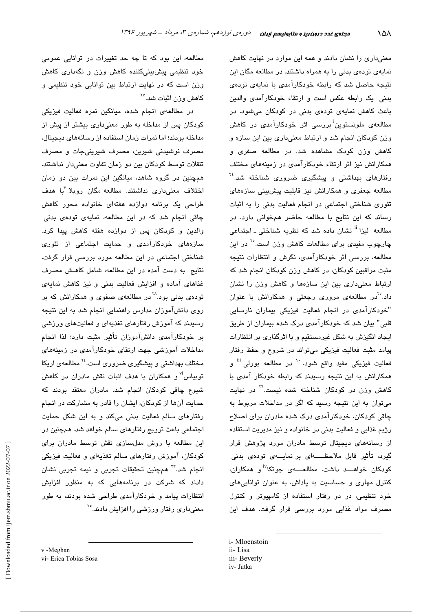معنیداری را نشان دادند و همه این موارد در نهایت کاهش نمایهی تودهی بدنی را به همراه داشتند. در مطالعه مگان این نتیجه حاصل شد که رابطه خودکارآمدی با نمایهی تودهی بدنی یک رابطه عکس است و ارتقاء خودکارآمدی والدین باعث کاهش نمایهی تودهی بدنی در کودکان میشود. در مطالعهی ملونستوین<sup>i</sup> دررسی اثر خودکارآمدی در کاهش وزن كودكان انجام شد و ارتباط معنى دارى بين اين سازه و کاهش وزن کودک مشاهده شد. در مطالعه صفری و همکارانش نیز اثر ارتقاء خودکارآمدی در زمینههای مختلف رفتارهای بهداشتی و پیشگیری ضروری شناخته شد.<sup>۲۶</sup> مطالعه جعفری و همکارانش نیز قابلیت پیش بینی سازههای تئوری شناختی اجتماعی در انجام فعالیت بدنی را به اثبات رساند که این نتایج با مطالعه حاضر همخوانی دارد. در مطالعه ليزا <sup>ii</sup> نشان داده شد كه نظريه شناختی ـ اجتماعی چارچوب مف*ندی* برای مطالعات کاهش وزن است.<sup>۲۰</sup> در این مطالعه، بررسی اثر خودکارآمدی، نگرش و انتظارات نتیجه مثبت مراقبین کودکان، در کاهش وزن کودکان انجام شد که ارتباط معنی داری بین این سازهها و کاهش وزن را نشان داد.<sup>۲</sup>۰در مطالعهی مروری رجعتی و همکارانش با عنوان "خودکارآمدی در انجام فعالیت فیزیکی بیماران نارسایی قلبی" بیان شد که خودکارآمدی درک شده بیماران از طریق ایجاد انگیزش به شکل غیرمستقیم و با اثرگذاری بر انتظارات پیامد مثبت فعالیت فیزیکی میتواند در شروع و حفظ رفتار فعالیت فیزیکی مفید واقع شود. <sup>۱۰</sup> در مطالعه بورلی <sup>iii</sup> و همکارانش به این نتیجه رسیدند که رابطه خودکار آمدی با کاهش وزن در کودکان شناخته شده نیست.<sup>71</sup> در نهایت میتوان به این نتیجه رسید که اگر در مداخلات مربوط به چاقی کودکان، خودکارآمدی درک شده مادران برای اصلاح رژیم غذایی و فعالیت بدنی در خانواده و نیز مدیریت استفاده از رسانههای دیجیتال توسط مادران مورد پژوهش قرار گیرد، تأثیر قابل ملاحظــــــهای بر نمایــــهی تودهی بدنی کودکان خواهــــد داشت. مطالعـــــهى جوتکا<sup>\نا</sup>و همکاران، کنترل مهاری و حساسیت به یاداش، به عنوان توانایی های خود تنظیمی، در دو رفتار استفاده از کامپیوتر و کنترل مصرف مواد غذایی مورد بررسی قرار گرفت. هدف این

- i-Mloenstoin
- ii-Lisa
- iii- Beverly
- iv-Jutka

مطالعه، این بود که تا چه حد تغییرات در توانایی عمومی خود تنظیمی پیشبینیکننده کاهش وزن و نگهداری کاهش وزن است که در نهایت ارتباط بین توانایی خود تنظیمی و کاهش وزن اثبات شد.<sup>۲۷</sup>

در مطالعهی انجام شده، میانگین نمره فعالیت فیزیکی کودکان پس از مداخله به طور معنیداری بیشتر از پیش از مداخله بودند؛ اما نمرات زمان استفاده از رسانههای دیجیتال، مصرف نوشیدنی شیرین، مصرف شیرینیجات و مصرف تنقلات توسط کودکان بین دو زمان تفاوت معنی،دار نداشتند. همچنین در گروه شاهد، میانگین این نمرات بین دو زمان اختلاف معنیداری نداشتند. مطالعه مگان روبلا <sup>۷</sup>با هدف طراحی یک پرنامه دوازده هفتهای خانواده محور کاهش چاقی انجام شد که در این مطالعه، نمایهی تودهی بدنی والدین و کودکان پس از دوازده هفته کاهش پیدا کرد. سازههای خودکارآمدی و حمایت اجتماعی از تئوری شناختی اجتماعی در این مطالعه مورد بررسی قرار گرفت. نتایج به دست آمده در این مطالعه، شامل کاهش مصرف غذاهای آماده و افزایش فعالیت بدنی و نیز کاهش نمایهی تودهی بدنی بود.<sup>۲۸</sup> در مطالعهی صفوی و همکارانش که بر روی دانشآموزان مدارس راهنمایی انجام شد به این نتیجه رسیدند که آموزش رفتارهای تغذیهای و فعالیتهای ورزشی بر خودکارآمدی دانشآموزان تأثیر مثبت دارد؛ لذا انجام مداخلات آموزشی جهت ارتقای خودکارآمدی در زمینههای مختلف بهداشتی و پیشگیری ضروری است.<sup>۲٤</sup> مطالعهی اریکا توبیاس" و همکاران با هدف اثبات نقش مادران در کاهش شیوع چاقی کودکان انجام شد. مادران معتقد بودند که حمایت آنها از کودکان، ایشان را قادر به مشارکت در انجام رفتارهای سالم فعالیت بدنی میکند و به این شکل حمایت اجتماعی باعث ترویج رفتارهای سالم خواهد شد. همچنین در این مطالعه با روش مدلسازی نقش توسط مادران برای کودکان، آموزش رفتارهای سالم تغذیهای و فعالیت فیزیکی انجام شد.<sup>۲۲</sup> همچنین تحقیقات تجربی و نیمه تجربی نشان دادند که شرکت در برنامههایی که به منظور افزایش انتظارات پیامد و خودکارآمدی طراحی شده بودند، به طور معنیداری رفتار ورزشی را افزایش دادند.°<sup>۲</sup>

v-Meghan vi- Erica Tobias Sosa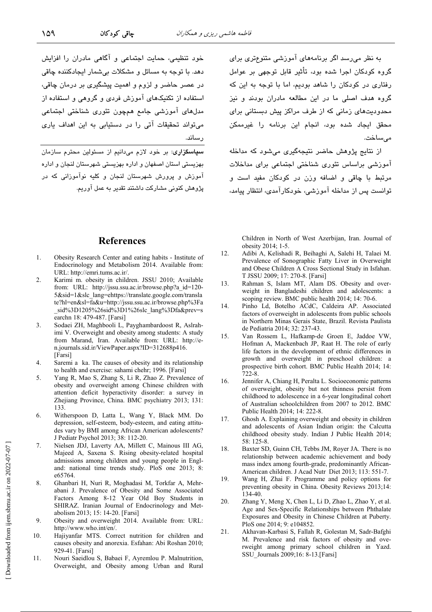خود تنظیمی، حمایت اجتماعی و آگاهی مادران را افزایش دهد. يا توجه به مسائل و مشكلات بي شمار ايجادكننده چاقي در عصر حاضر و لزوم و ا*ه*میت پیشگیر*ی* بر درمان چاقی، استفاده از تکنیکهای آموزش فردی و گروهی و استفاده از مدلھای آموزشی جامع ھمڇون تئوري شناختی اجتماعی می تواند تحقیقات آتی را در دستبایی به این اهداف باری

۔<br>پهزیستی استان اصفهان و اداره پهزیستی شهرستان لنجان و اداره ۔<br>آموزش و پرورش شهرستان لنجان و کلبه نوآموزانی که در یژوهش کنونی مشارکت داشتند تقدیر به عمل آوریم. به نظر میرسد اگر برنامههای آموزشی متنوعتری برای گروه کودکان اجرا شده بود، تأثیر قابل توجه*ی* بن عوامل رفتاری در کودکان را شاهد بودیم، اما یا توجه به این که گروه هدف اصلی ما در این مطالعه مادران بودند و نیز محدودیتهای زمانی که از طرف مراکز پیش دبستانی برای محقق ایجاد شده بود، انجام این برنامه را غیرممکن مىساخت.

از نتایج پژوهش حاضر نتیجهگیری می شود که مداخله آموزشی پراساس تئوری شناختی اجتماعی پرای مداخلات مرتبط با چاقی و اضافه وزن در کودکان مفی*د* است و توانست پس از مداخله آموزشی، خودکار آمدی، انتظار پیامد،

### **References**

- 1. Obesity Research Center and eating habits - Institute of Endocrinology and Metabolism 2014. Available from: URL: http://emri.tums.ac.ir/.
- $\mathfrak{D}$ Karimi m. obesity in children. JSSU 2010; Available from: URL: http://jssu.ssu.ac.ir/browse.php?a id=120-5&sid=1&slc\_lang=ehttps://translate.google.com/transla te?hl=en&sl=fa&u=http://jssu.ssu.ac.ir/browse.php%3Fa sid%3D1205%26sid%3D1%26slc\_lang%3Dfa&prev=s earchn 18: 479-487. [Farsi]
- Sodaei ZH, Maghbooli L, Payghambardoost R, Aslrah- $\mathcal{E}$ imi V. Overweight and obesity among students: A study from Marand, Iran. Available from: URL: http://en.journals.sid.ir/ViewPaper.aspx?ID=312688p416. [Farsi]
- Saremi a ka. The causes of obesity and its relationship  $\overline{4}$ . to health and exercise: sahami chehr; 1996. [Farsi]
- 5. Yang R, Mao S, Zhang S, Li R, Zhao Z. Prevalence of obesity and overweight among Chinese children with attention deficit hyperactivity disorder: a survey in Zhejiang Province, China. BMC psychiatry 2013; 131: 133
- Witherspoon D, Latta L, Wang Y, Black MM. Do 6. depression, self-esteem, body-esteem, and eating attitudes vary by BMI among African American adolescents? J Pediatr Psychol 2013; 38: 112-20.
- $\overline{7}$ Nielsen JDJ, Laverty AA, Millett C, Mainous III AG, Majeed A, Saxena S. Rising obesity-related hospital admissions among children and young people in England: national time trends study. PloS one 2013; 8: e65764.
- $\mathbf{R}$ Ghanbari H, Nuri R, Moghadasi M, Torkfar A, Mehrabani J. Prevalence of Obesity and Some Associated Factors Among 8-12 Year Old Boy Students in SHIRAZ. Iranian Journal of Endocrinology and Metabolism 2013; 15: 14-20. [Farsi]
- 9. Obesity and overweight 2014. Available from: URL: http://www.who.int/en/.
- 10. Hajiyanfar MTS. Correct nutrition for children and causes obesity and anorexia. Esfahan: Abi Roshan 2010; 929-41. [Farsi]
- 11. Nouri Saeidlou S, Babaei F, Ayremlou P. Malnutrition, Overweight, and Obesity among Urban and Rural

Children in North of West Azerbijan, Iran. Journal of obesity 2014; 1-5.

- $12.$ Adibi A, Kelishadi R, Beihaghi A, Salehi H, Talaei M. Prevalence of Sonographic Fatty Liver in Overweight and Obese Children A Cross Sectional Study in Isfahan. T JSSU 2009; 17: 270-8. [Farsi]
- Rahman S. Islam MT. Alam DS. Obesity and over- $13.$ weight in Bangladeshi children and adolescents: a scoping review. BMC public health 2014; 14: 70-6.
- 14. Pinho Ld, Botelho ACdC, Caldeira AP. Associated factors of overweight in adolescents from public schools in Northern Minas Gerais State, Brazil. Revista Paulista de Pediatria 2014; 32: 237-43.
- 15. Van Rossem L, Hafkamp-de Groen E, Jaddoe VW, Hofman A, Mackenbach JP, Raat H. The role of early life factors in the development of ethnic differences in growth and overweight in preschool children: a prospective birth cohort. BMC Public Health 2014; 14:  $722 - 8$
- Jennifer A, Chiang H, Peralta L. Socioeconomic patterns 16. of overweight, obesity but not thinness persist from childhood to adolescence in a 6-year longitudinal cohort of Australian schoolchildren from 2007 to 2012. BMC Public Health 2014; 14: 222-8.
- $17.$ Ghosh A. Explaining overweight and obesity in children and adolescents of Asian Indian origin: the Calcutta childhood obesity study. Indian J Public Health 2014;  $58:125-8$
- 18. Baxter SD, Guinn CH, Tebbs JM, Royer JA. There is no relationship between academic achievement and body mass index among fourth-grade, predominantly African-American children. J Acad Nutr Diet 2013: 113: 551-7.
- 19. Wang H, Zhai F. Programme and policy options for preventing obesity in China. Obesity Reviews 2013;14: 134-40.
- Zhang Y, Meng X, Chen L, Li D, Zhao L, Zhao Y, et al. 20. Age and Sex-Specific Relationships between Phthalate Exposures and Obesity in Chinese Children at Puberty. PloS one 2014; 9: e104852.
- 21. Akhavan-Karbasi S, Fallah R, Golestan M, Sadr-Bafghi M. Prevalence and risk factors of obesity and overweight among primary school children in Yazd. SSU Journals 2009;16: 8-13.[Farsi]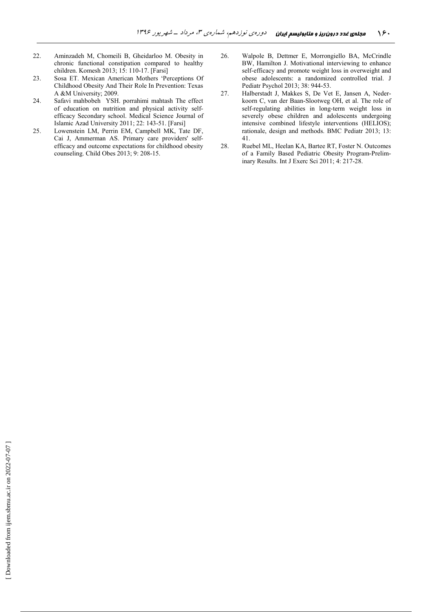- 22. Aminzadeh M, Chomeili B, Gheidarloo M. Obesity in chronic functional constipation compared to healthy children. Komesh 2013; 15: 110-17. [Farsi]
- 23. Sosa ET. Mexican American Mothers 'Perceptions Of Childhood Obesity And Their Role In Prevention: Texas A &M University; 2009.
- 24. Safavi mahbobeh YSH. porrahimi mahtash The effect of education on nutrition and physical activity selfefficacy Secondary school. Medical Science Journal of Islamic Azad University 2011; 22: 143-51. [Farsi]
- 25. Lowenstein LM, Perrin EM, Campbell MK, Tate DF, Cai J, Ammerman AS. Primary care providers' selfefficacy and outcome expectations for childhood obesity counseling. Child Obes 2013; 9: 208-15.
- 26. Walpole B, Dettmer E, Morrongiello BA, McCrindle BW, Hamilton J. Motivational interviewing to enhance self-efficacy and promote weight loss in overweight and obese adolescents: a randomized controlled trial. J Pediatr Psychol 2013; 38: 944-53.
- 27. Halberstadt J, Makkes S, De Vet E, Jansen A, Nederkoorn C, van der Baan-Slootweg OH, et al. The role of self-regulating abilities in long-term weight loss in severely obese children and adolescents undergoing intensive combined lifestyle interventions (HELIOS); rationale, design and methods. BMC Pediatr 2013; 13: 41.
- 28. Ruebel ML, Heelan KA, Bartee RT, Foster N. Outcomes of a Family Based Pediatric Obesity Program-Preliminary Results. Int J Exerc Sci 2011; 4: 217-28.